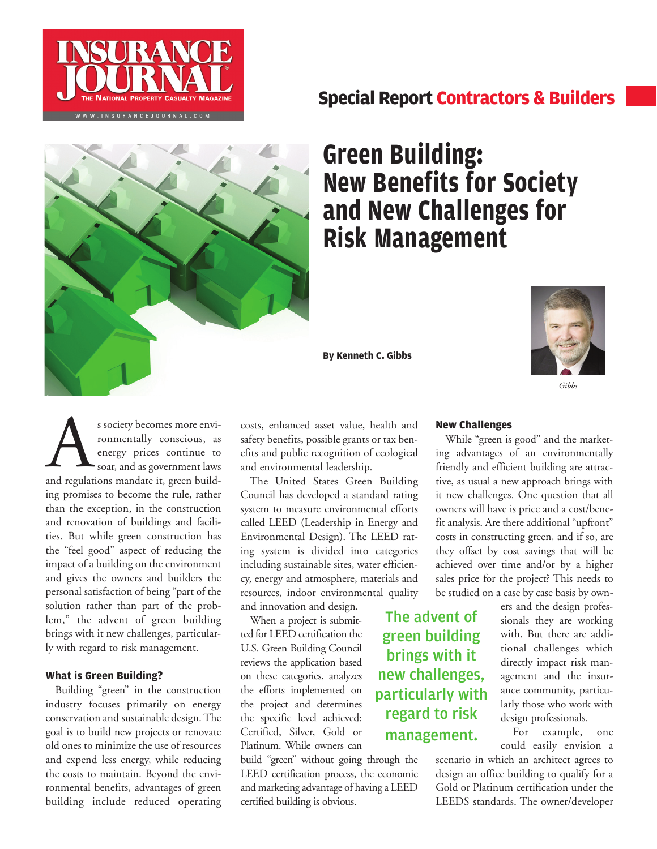

# **Special Report Contractors & Builders**



# **Green Building: New Benefits for Society and New Challenges for Risk Management**

**By Kenneth C. Gibbs**



*Gibbs*

s society becomes more environmentally conscious, as<br>
energy prices continue to<br>
soar, and as government laws<br>
and regulations mandate it, green buildronmentally conscious, as energy prices continue to soar, and as government laws ing promises to become the rule, rather than the exception, in the construction and renovation of buildings and facilities. But while green construction has the "feel good" aspect of reducing the impact of a building on the environment and gives the owners and builders the personal satisfaction of being "part of the solution rather than part of the problem," the advent of green building brings with it new challenges, particularly with regard to risk management.

### **What is Green Building?**

Building "green" in the construction industry focuses primarily on energy conservation and sustainable design. The goal is to build new projects or renovate old ones to minimize the use of resources and expend less energy, while reducing the costs to maintain. Beyond the environmental benefits, advantages of green building include reduced operating

costs, enhanced asset value, health and safety benefits, possible grants or tax benefits and public recognition of ecological and environmental leadership.

The United States Green Building Council has developed a standard rating system to measure environmental efforts called LEED (Leadership in Energy and Environmental Design). The LEED rating system is divided into categories including sustainable sites, water efficiency, energy and atmosphere, materials and resources, indoor environmental quality and innovation and design.

When a project is submitted for LEED certification the U.S. Green Building Council reviews the application based on these categories, analyzes the efforts implemented on the project and determines the specific level achieved: Certified, Silver, Gold or Platinum. While owners can

build "green" without going through the LEED certification process, the economic and marketing advantage of having a LEED certified building is obvious.

## **New Challenges**

While "green is good" and the marketing advantages of an environmentally friendly and efficient building are attractive, as usual a new approach brings with it new challenges. One question that all owners will have is price and a cost/benefit analysis. Are there additional "upfront" costs in constructing green, and if so, are they offset by cost savings that will be achieved over time and/or by a higher sales price for the project? This needs to be studied on a case by case basis by own-

ers and the design professionals they are working with. But there are additional challenges which directly impact risk management and the insurance community, particularly those who work with design professionals.

For example, one could easily envision a

scenario in which an architect agrees to design an office building to qualify for a Gold or Platinum certification under the LEEDS standards. The owner/developer

The advent of green building brings with it new challenges, particularly with regard to risk management.